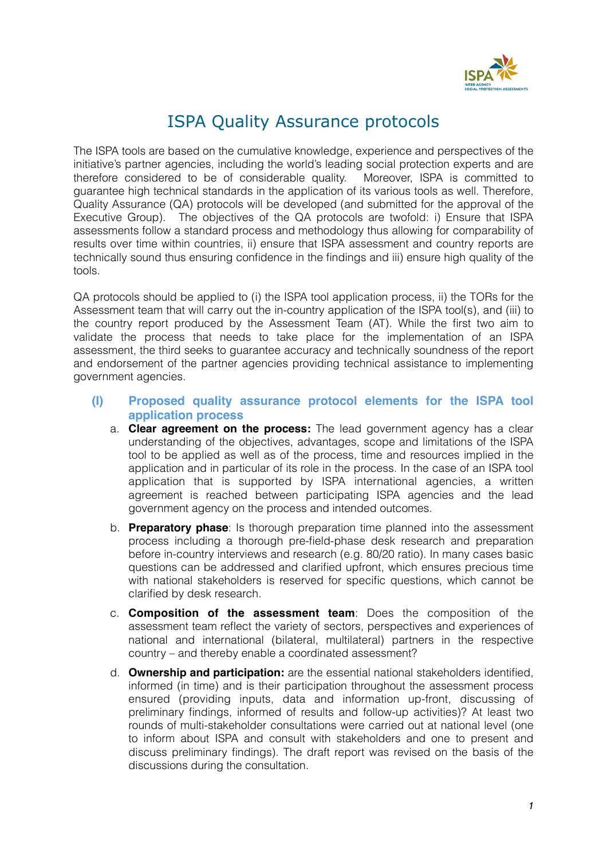

# ISPA Quality Assurance protocols

The ISPA tools are based on the cumulative knowledge, experience and perspectives of the initiative's partner agencies, including the world's leading social protection experts and are therefore considered to be of considerable quality. Moreover, ISPA is committed to guarantee high technical standards in the application of its various tools as well. Therefore, Quality Assurance (QA) protocols will be developed (and submitted for the approval of the Executive Group). The objectives of the QA protocols are twofold: i) Ensure that ISPA assessments follow a standard process and methodology thus allowing for comparability of results over time within countries, ii) ensure that ISPA assessment and country reports are technically sound thus ensuring confidence in the findings and iii) ensure high quality of the tools.

QA protocols should be applied to (i) the ISPA tool application process, ii) the TORs for the Assessment team that will carry out the in-country application of the ISPA tool(s), and (iii) to the country report produced by the Assessment Team (AT). While the first two aim to validate the process that needs to take place for the implementation of an ISPA assessment, the third seeks to guarantee accuracy and technically soundness of the report and endorsement of the partner agencies providing technical assistance to implementing government agencies.

- **(I) Proposed quality assurance protocol elements for the ISPA tool application process** 
	- a. **Clear agreement on the process:** The lead government agency has a clear understanding of the objectives, advantages, scope and limitations of the ISPA tool to be applied as well as of the process, time and resources implied in the application and in particular of its role in the process. In the case of an ISPA tool application that is supported by ISPA international agencies, a written agreement is reached between participating ISPA agencies and the lead government agency on the process and intended outcomes.
	- b. **Preparatory phase**: Is thorough preparation time planned into the assessment process including a thorough pre-field-phase desk research and preparation before in-country interviews and research (e.g. 80/20 ratio). In many cases basic questions can be addressed and clarified upfront, which ensures precious time with national stakeholders is reserved for specific questions, which cannot be clarified by desk research.
	- c. **Composition of the assessment team**: Does the composition of the assessment team reflect the variety of sectors, perspectives and experiences of national and international (bilateral, multilateral) partners in the respective country – and thereby enable a coordinated assessment?
	- d. **Ownership and participation:** are the essential national stakeholders identified, informed (in time) and is their participation throughout the assessment process ensured (providing inputs, data and information up-front, discussing of preliminary findings, informed of results and follow-up activities)? At least two rounds of multi-stakeholder consultations were carried out at national level (one to inform about ISPA and consult with stakeholders and one to present and discuss preliminary findings). The draft report was revised on the basis of the discussions during the consultation.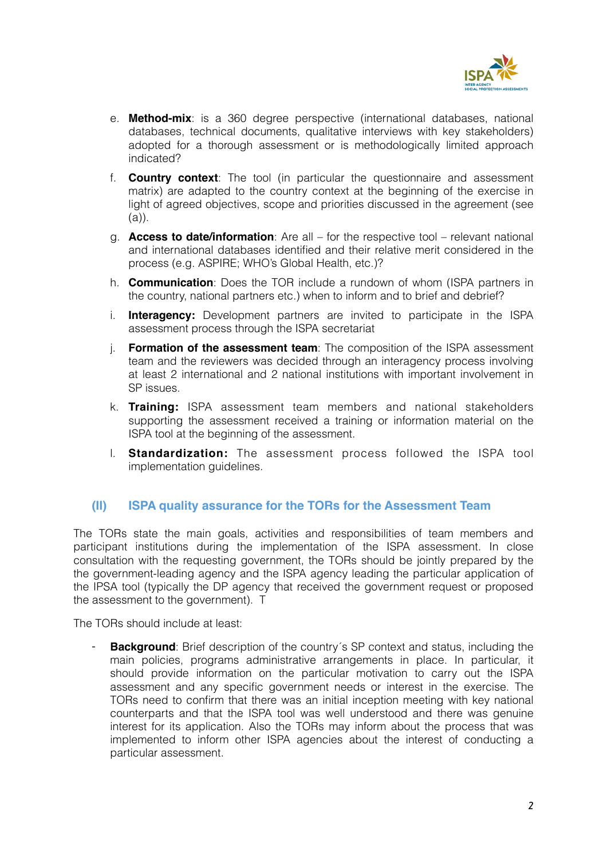

- e. **Method-mix**: is a 360 degree perspective (international databases, national databases, technical documents, qualitative interviews with key stakeholders) adopted for a thorough assessment or is methodologically limited approach indicated?
- f. **Country context**: The tool (in particular the questionnaire and assessment matrix) are adapted to the country context at the beginning of the exercise in light of agreed objectives, scope and priorities discussed in the agreement (see (a)).
- g. **Access to date/information**: Are all for the respective tool relevant national and international databases identified and their relative merit considered in the process (e.g. ASPIRE; WHO's Global Health, etc.)?
- h. **Communication**: Does the TOR include a rundown of whom (ISPA partners in the country, national partners etc.) when to inform and to brief and debrief?
- i. **Interagency:** Development partners are invited to participate in the ISPA assessment process through the ISPA secretariat
- j. **Formation of the assessment team**: The composition of the ISPA assessment team and the reviewers was decided through an interagency process involving at least 2 international and 2 national institutions with important involvement in SP issues.
- k. **Training:** ISPA assessment team members and national stakeholders supporting the assessment received a training or information material on the ISPA tool at the beginning of the assessment.
- l. **Standardization:** The assessment process followed the ISPA tool implementation guidelines.

## **(II) ISPA quality assurance for the TORs for the Assessment Team**

The TORs state the main goals, activities and responsibilities of team members and participant institutions during the implementation of the ISPA assessment. In close consultation with the requesting government, the TORs should be jointly prepared by the the government-leading agency and the ISPA agency leading the particular application of the IPSA tool (typically the DP agency that received the government request or proposed the assessment to the government). T

The TORs should include at least:

**Background**: Brief description of the country's SP context and status, including the main policies, programs administrative arrangements in place. In particular, it should provide information on the particular motivation to carry out the ISPA assessment and any specific government needs or interest in the exercise. The TORs need to confirm that there was an initial inception meeting with key national counterparts and that the ISPA tool was well understood and there was genuine interest for its application. Also the TORs may inform about the process that was implemented to inform other ISPA agencies about the interest of conducting a particular assessment.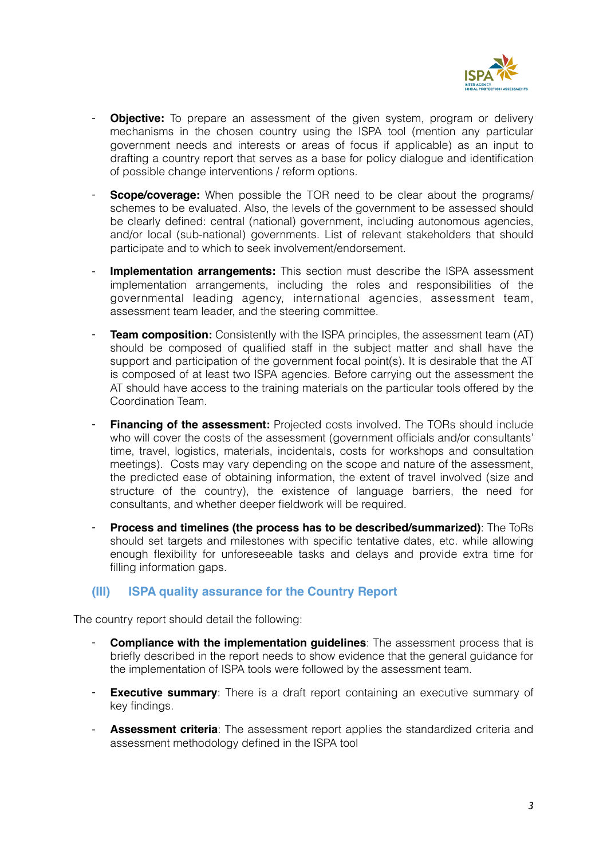

- **Objective:** To prepare an assessment of the given system, program or delivery mechanisms in the chosen country using the ISPA tool (mention any particular government needs and interests or areas of focus if applicable) as an input to drafting a country report that serves as a base for policy dialogue and identification of possible change interventions / reform options.
- **Scope/coverage:** When possible the TOR need to be clear about the programs/ schemes to be evaluated. Also, the levels of the government to be assessed should be clearly defined: central (national) government, including autonomous agencies, and/or local (sub-national) governments. List of relevant stakeholders that should participate and to which to seek involvement/endorsement.
- **Implementation arrangements:** This section must describe the ISPA assessment implementation arrangements, including the roles and responsibilities of the governmental leading agency, international agencies, assessment team, assessment team leader, and the steering committee.
- **Team composition:** Consistently with the ISPA principles, the assessment team (AT) should be composed of qualified staff in the subject matter and shall have the support and participation of the government focal point(s). It is desirable that the AT is composed of at least two ISPA agencies. Before carrying out the assessment the AT should have access to the training materials on the particular tools offered by the Coordination Team.
- **Financing of the assessment:** Projected costs involved. The TORs should include who will cover the costs of the assessment (government officials and/or consultants' time, travel, logistics, materials, incidentals, costs for workshops and consultation meetings). Costs may vary depending on the scope and nature of the assessment, the predicted ease of obtaining information, the extent of travel involved (size and structure of the country), the existence of language barriers, the need for consultants, and whether deeper fieldwork will be required.
- **Process and timelines (the process has to be described/summarized)**: The ToRs should set targets and milestones with specific tentative dates, etc. while allowing enough flexibility for unforeseeable tasks and delays and provide extra time for filling information gaps.

### **(III) ISPA quality assurance for the Country Report**

The country report should detail the following:

- **Compliance with the implementation guidelines**: The assessment process that is briefly described in the report needs to show evidence that the general guidance for the implementation of ISPA tools were followed by the assessment team.
- **Executive summary**: There is a draft report containing an executive summary of key findings.
- **Assessment criteria**: The assessment report applies the standardized criteria and assessment methodology defined in the ISPA tool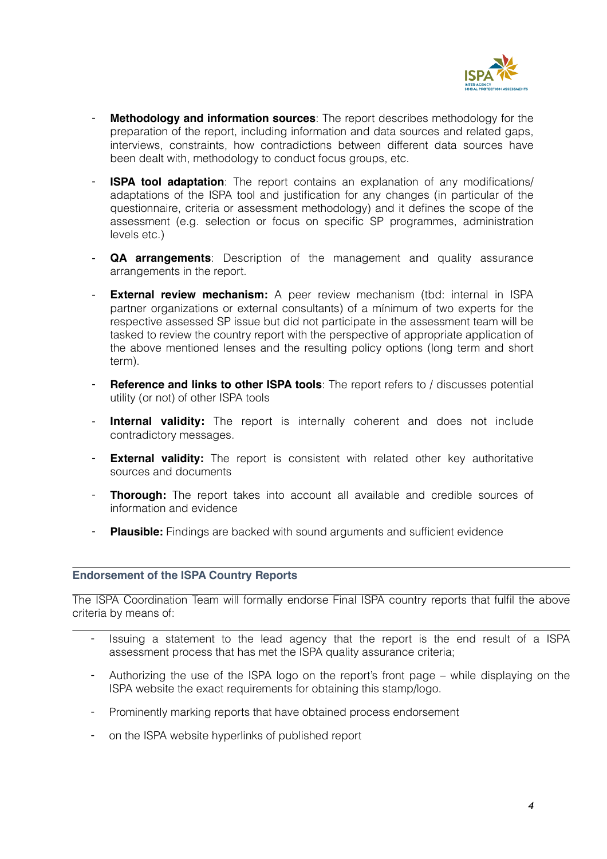

- **Methodology and information sources**: The report describes methodology for the preparation of the report, including information and data sources and related gaps, interviews, constraints, how contradictions between different data sources have been dealt with, methodology to conduct focus groups, etc.
- **ISPA tool adaptation**: The report contains an explanation of any modifications/ adaptations of the ISPA tool and justification for any changes (in particular of the questionnaire, criteria or assessment methodology) and it defines the scope of the assessment (e.g. selection or focus on specific SP programmes, administration levels etc.)
- **QA arrangements**: Description of the management and quality assurance arrangements in the report.
- **External review mechanism:** A peer review mechanism (tbd: internal in ISPA partner organizations or external consultants) of a mínimum of two experts for the respective assessed SP issue but did not participate in the assessment team will be tasked to review the country report with the perspective of appropriate application of the above mentioned lenses and the resulting policy options (long term and short term).
- **Reference and links to other ISPA tools**: The report refers to / discusses potential utility (or not) of other ISPA tools
- **Internal validity:** The report is internally coherent and does not include contradictory messages.
- **External validity:** The report is consistent with related other key authoritative sources and documents
- **Thorough:** The report takes into account all available and credible sources of information and evidence
- **Plausible:** Findings are backed with sound arguments and sufficient evidence

#### **Endorsement of the ISPA Country Reports**

The ISPA Coordination Team will formally endorse Final ISPA country reports that fulfil the above criteria by means of:

- Issuing a statement to the lead agency that the report is the end result of a ISPA assessment process that has met the ISPA quality assurance criteria;
- Authorizing the use of the ISPA logo on the report's front page while displaying on the ISPA website the exact requirements for obtaining this stamp/logo.
- Prominently marking reports that have obtained process endorsement
- on the ISPA website hyperlinks of published report